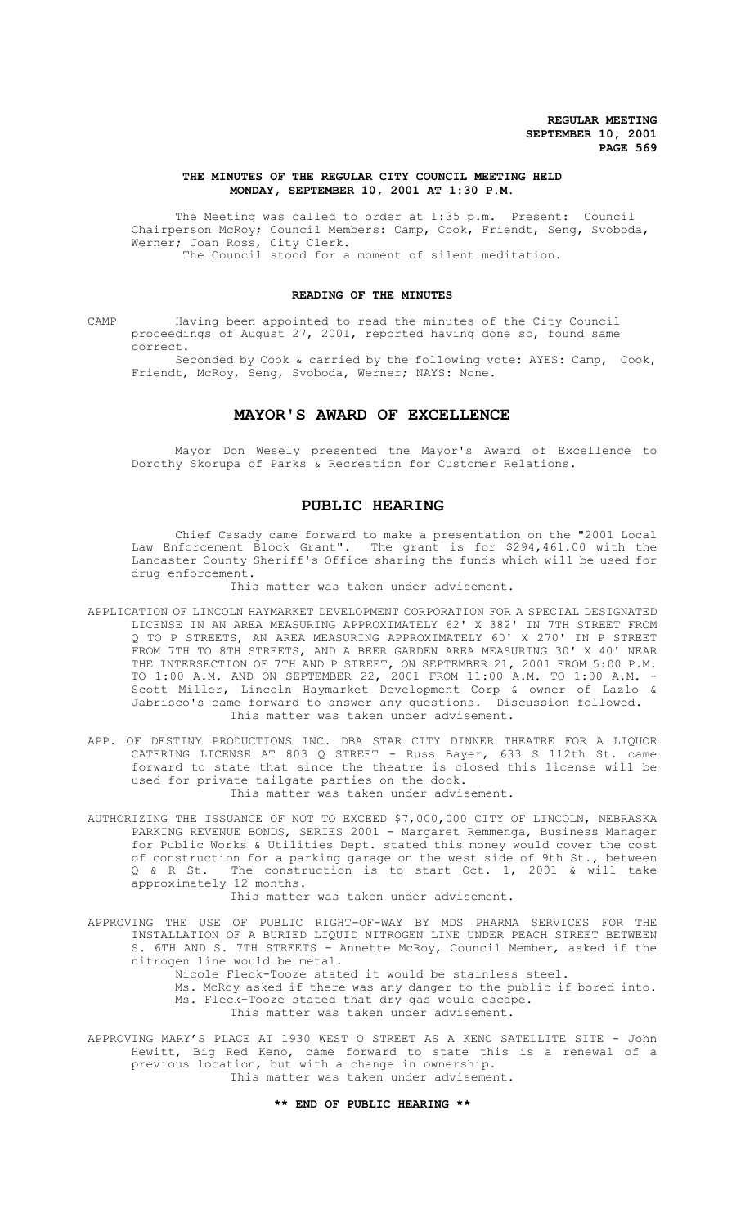### **THE MINUTES OF THE REGULAR CITY COUNCIL MEETING HELD MONDAY, SEPTEMBER 10, 2001 AT 1:30 P.M.**

The Meeting was called to order at 1:35 p.m. Present: Council Chairperson McRoy; Council Members: Camp, Cook, Friendt, Seng, Svoboda, Werner; Joan Ross, City Clerk. The Council stood for a moment of silent meditation.

### **READING OF THE MINUTES**

CAMP Having been appointed to read the minutes of the City Council proceedings of August 27, 2001, reported having done so, found same correct.

Seconded by Cook & carried by the following vote: AYES: Camp, Cook, Friendt, McRoy, Seng, Svoboda, Werner; NAYS: None.

# **MAYOR'S AWARD OF EXCELLENCE**

Mayor Don Wesely presented the Mayor's Award of Excellence to Dorothy Skorupa of Parks & Recreation for Customer Relations.

## **PUBLIC HEARING**

Chief Casady came forward to make a presentation on the "2001 Local Law Enforcement Block Grant". The grant is for \$294,461.00 with the Lancaster County Sheriff's Office sharing the funds which will be used for drug enforcement.

This matter was taken under advisement.

- APPLICATION OF LINCOLN HAYMARKET DEVELOPMENT CORPORATION FOR A SPECIAL DESIGNATED LICENSE IN AN AREA MEASURING APPROXIMATELY 62' X 382' IN 7TH STREET FROM Q TO P STREETS, AN AREA MEASURING APPROXIMATELY 60' X 270' IN P STREET FROM 7TH TO 8TH STREETS, AND A BEER GARDEN AREA MEASURING 30' X 40' NEAR THE INTERSECTION OF 7TH AND P STREET, ON SEPTEMBER 21, 2001 FROM 5:00 P.M. TO 1:00 A.M. AND ON SEPTEMBER 22, 2001 FROM 11:00 A.M. TO 1:00 A.M. - Scott Miller, Lincoln Haymarket Development Corp & owner of Lazlo & Jabrisco's came forward to answer any questions. Discussion followed. This matter was taken under advisement.
- APP. OF DESTINY PRODUCTIONS INC. DBA STAR CITY DINNER THEATRE FOR A LIQUOR CATERING LICENSE AT 803 Q STREET - Russ Bayer, 633 S 112th St. came forward to state that since the theatre is closed this license will be used for private tailgate parties on the dock. This matter was taken under advisement.
- AUTHORIZING THE ISSUANCE OF NOT TO EXCEED \$7,000,000 CITY OF LINCOLN, NEBRASKA PARKING REVENUE BONDS, SERIES 2001 - Margaret Remmenga, Business Manager for Public Works & Utilities Dept. stated this money would cover the cost of construction for a parking garage on the west side of 9th St., between<br>0 & R St. The construction is to start Oct. 1, 2001 & will take The construction is to start Oct. 1, 2001 & will take approximately 12 months.

This matter was taken under advisement.

- APPROVING THE USE OF PUBLIC RIGHT-OF-WAY BY MDS PHARMA SERVICES FOR THE INSTALLATION OF A BURIED LIQUID NITROGEN LINE UNDER PEACH STREET BETWEEN S. 6TH AND S. 7TH STREETS - Annette McRoy, Council Member, asked if the nitrogen line would be metal.
	- Nicole Fleck-Tooze stated it would be stainless steel.
	- Ms. McRoy asked if there was any danger to the public if bored into. Ms. Fleck-Tooze stated that dry gas would escape.

This matter was taken under advisement.

APPROVING MARY'S PLACE AT 1930 WEST O STREET AS A KENO SATELLITE SITE - John Hewitt, Big Red Keno, came forward to state this is a renewal of a previous location, but with a change in ownership. This matter was taken under advisement.

### **\*\* END OF PUBLIC HEARING \*\***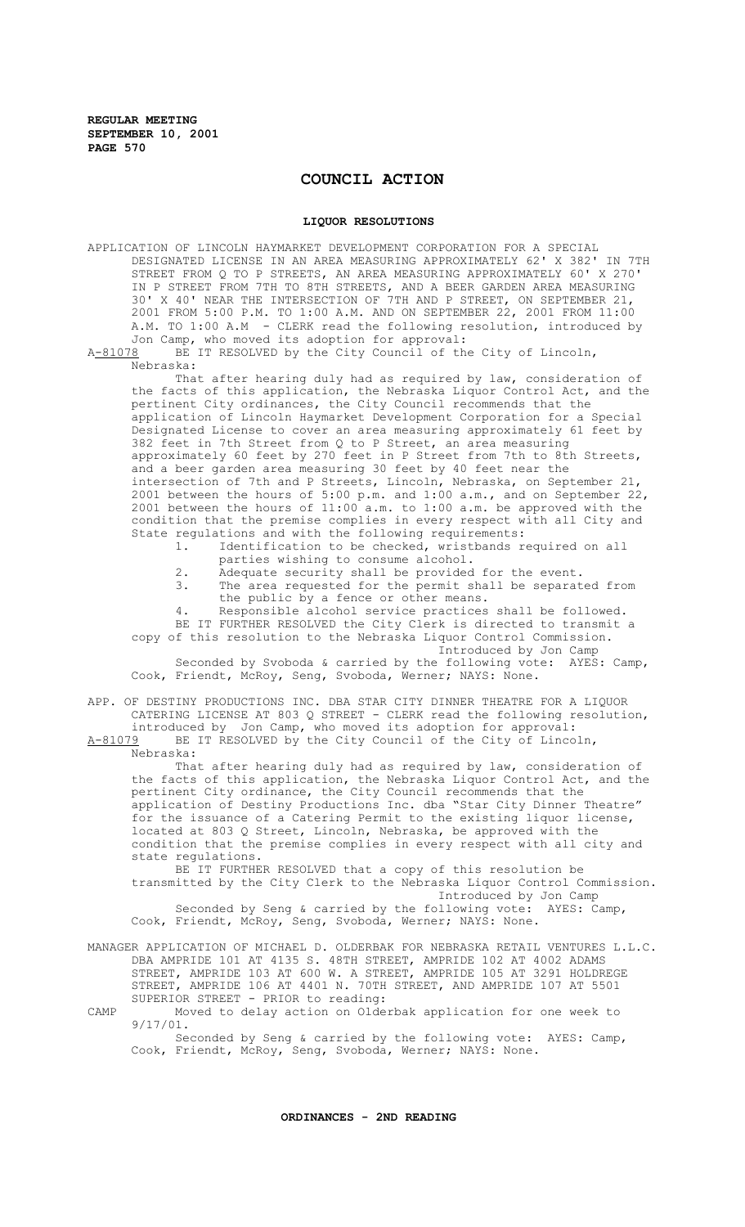# **COUNCIL ACTION**

#### **LIQUOR RESOLUTIONS**

APPLICATION OF LINCOLN HAYMARKET DEVELOPMENT CORPORATION FOR A SPECIAL DESIGNATED LICENSE IN AN AREA MEASURING APPROXIMATELY 62' X 382' IN 7TH STREET FROM Q TO P STREETS, AN AREA MEASURING APPROXIMATELY 60' X 270' IN P STREET FROM 7TH TO 8TH STREETS, AND A BEER GARDEN AREA MEASURING 30' X 40' NEAR THE INTERSECTION OF 7TH AND P STREET, ON SEPTEMBER 21, 2001 FROM 5:00 P.M. TO 1:00 A.M. AND ON SEPTEMBER 22, 2001 FROM 11:00 A.M. TO 1:00 A.M - CLERK read the following resolution, introduced by Jon Camp, who moved its adoption for approval: A-81078 BE IT RESOLVED by the City Council of the City of Lincoln, Nebraska: That after hearing duly had as required by law, consideration of the facts of this application, the Nebraska Liquor Control Act, and the pertinent City ordinances, the City Council recommends that the application of Lincoln Haymarket Development Corporation for a Special Designated License to cover an area measuring approximately 61 feet by 382 feet in 7th Street from Q to P Street, an area measuring approximately 60 feet by 270 feet in P Street from 7th to 8th Streets, and a beer garden area measuring 30 feet by 40 feet near the intersection of 7th and P Streets, Lincoln, Nebraska, on September 21, 2001 between the hours of 5:00 p.m. and 1:00 a.m., and on September 22, 2001 between the hours of 11:00 a.m. to 1:00 a.m. be approved with the condition that the premise complies in every respect with all City and State regulations and with the following requirements:<br>1. Identification to be checked, wristbands r Identification to be checked, wristbands required on all

- parties wishing to consume alcohol.
- 2. Adequate security shall be provided for the event.<br>3. The area requested for the permit shall be separat
- The area requested for the permit shall be separated from the public by a fence or other means.
- 4. Responsible alcohol service practices shall be followed.

BE IT FURTHER RESOLVED the City Clerk is directed to transmit a copy of this resolution to the Nebraska Liquor Control Commission. Introduced by Jon Camp

Seconded by Svoboda & carried by the following vote: AYES: Camp, Cook, Friendt, McRoy, Seng, Svoboda, Werner; NAYS: None.

APP. OF DESTINY PRODUCTIONS INC. DBA STAR CITY DINNER THEATRE FOR A LIQUOR CATERING LICENSE AT 803 Q STREET - CLERK read the following resolution, introduced by Jon Camp, who moved its adoption for approval: A-81079 BE IT RESOLVED by the City Council of the City of Lincoln, Nebraska:

That after hearing duly had as required by law, consideration of the facts of this application, the Nebraska Liquor Control Act, and the pertinent City ordinance, the City Council recommends that the application of Destiny Productions Inc. dba "Star City Dinner Theatre" for the issuance of a Catering Permit to the existing liquor license, located at 803 Q Street, Lincoln, Nebraska, be approved with the condition that the premise complies in every respect with all city and state regulations.

BE IT FURTHER RESOLVED that a copy of this resolution be transmitted by the City Clerk to the Nebraska Liquor Control Commission. Introduced by Jon Camp Seconded by Seng & carried by the following vote: AYES: Camp,

Cook, Friendt, McRoy, Seng, Svoboda, Werner; NAYS: None.

MANAGER APPLICATION OF MICHAEL D. OLDERBAK FOR NEBRASKA RETAIL VENTURES L.L.C. DBA AMPRIDE 101 AT 4135 S. 48TH STREET, AMPRIDE 102 AT 4002 ADAMS STREET, AMPRIDE 103 AT 600 W. A STREET, AMPRIDE 105 AT 3291 HOLDREGE STREET, AMPRIDE 106 AT 4401 N. 70TH STREET, AND AMPRIDE 107 AT 5501 SUPERIOR STREET - PRIOR to reading:

CAMP Moved to delay action on Olderbak application for one week to 9/17/01.

Seconded by Seng & carried by the following vote: AYES: Camp, Cook, Friendt, McRoy, Seng, Svoboda, Werner; NAYS: None.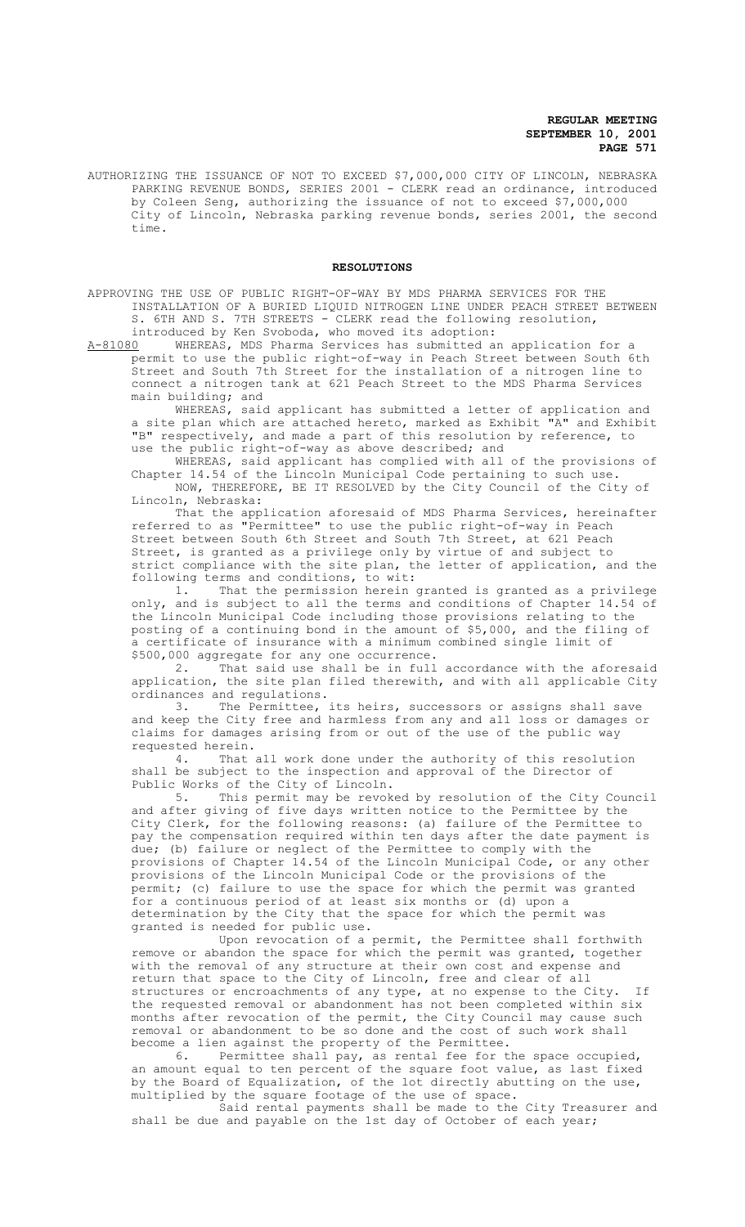AUTHORIZING THE ISSUANCE OF NOT TO EXCEED \$7,000,000 CITY OF LINCOLN, NEBRASKA PARKING REVENUE BONDS, SERIES 2001 - CLERK read an ordinance, introduced by Coleen Seng, authorizing the issuance of not to exceed \$7,000,000 City of Lincoln, Nebraska parking revenue bonds, series 2001, the second time.

### **RESOLUTIONS**

APPROVING THE USE OF PUBLIC RIGHT-OF-WAY BY MDS PHARMA SERVICES FOR THE INSTALLATION OF A BURIED LIQUID NITROGEN LINE UNDER PEACH STREET BETWEEN S. 6TH AND S. 7TH STREETS - CLERK read the following resolution,

introduced by Ken Svoboda, who moved its adoption:<br>A-81080 WHEREAS, MDS Pharma Services has submitted an WHEREAS, MDS Pharma Services has submitted an application for a permit to use the public right-of-way in Peach Street between South 6th Street and South 7th Street for the installation of a nitrogen line to connect a nitrogen tank at 621 Peach Street to the MDS Pharma Services main building; and

WHEREAS, said applicant has submitted a letter of application and a site plan which are attached hereto, marked as Exhibit "A" and Exhibit "B" respectively, and made a part of this resolution by reference, to use the public right-of-way as above described; and

WHEREAS, said applicant has complied with all of the provisions of Chapter 14.54 of the Lincoln Municipal Code pertaining to such use. NOW, THEREFORE, BE IT RESOLVED by the City Council of the City of Lincoln, Nebraska:

That the application aforesaid of MDS Pharma Services, hereinafter referred to as "Permittee" to use the public right-of-way in Peach Street between South 6th Street and South 7th Street, at 621 Peach Street, is granted as a privilege only by virtue of and subject to strict compliance with the site plan, the letter of application, and the following terms and conditions, to wit:

1. That the permission herein granted is granted as a privilege only, and is subject to all the terms and conditions of Chapter 14.54 of the Lincoln Municipal Code including those provisions relating to the posting of a continuing bond in the amount of \$5,000, and the filing of a certificate of insurance with a minimum combined single limit of \$500,000 aggregate for any one occurrence.

2. That said use shall be in full accordance with the aforesaid application, the site plan filed therewith, and with all applicable City ordinances and regulations.

3. The Permittee, its heirs, successors or assigns shall save and keep the City free and harmless from any and all loss or damages or claims for damages arising from or out of the use of the public way requested herein.<br>4. That

That all work done under the authority of this resolution shall be subject to the inspection and approval of the Director of

Public Works of the City of Lincoln.<br>5. This permit may be revok This permit may be revoked by resolution of the City Council and after giving of five days written notice to the Permittee by the City Clerk, for the following reasons: (a) failure of the Permittee to pay the compensation required within ten days after the date payment is due; (b) failure or neglect of the Permittee to comply with the provisions of Chapter 14.54 of the Lincoln Municipal Code, or any other provisions of the Lincoln Municipal Code or the provisions of the permit; (c) failure to use the space for which the permit was granted for a continuous period of at least six months or (d) upon a determination by the City that the space for which the permit was granted is needed for public use.

Upon revocation of a permit, the Permittee shall forthwith remove or abandon the space for which the permit was granted, together with the removal of any structure at their own cost and expense and return that space to the City of Lincoln, free and clear of all structures or encroachments of any type, at no expense to the City. If the requested removal or abandonment has not been completed within six months after revocation of the permit, the City Council may cause such removal or abandonment to be so done and the cost of such work shall become a lien against the property of the Permittee.

6. Permittee shall pay, as rental fee for the space occupied, an amount equal to ten percent of the square foot value, as last fixed by the Board of Equalization, of the lot directly abutting on the use, multiplied by the square footage of the use of space.

Said rental payments shall be made to the City Treasurer and shall be due and payable on the 1st day of October of each year;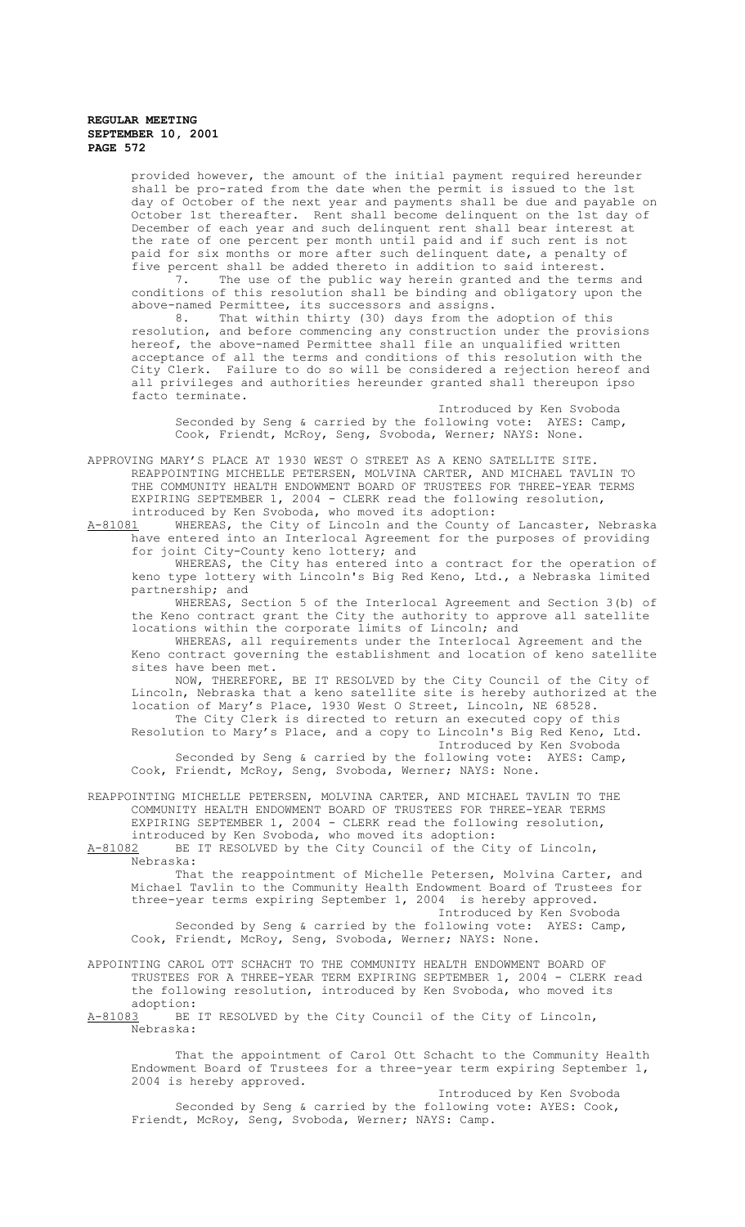provided however, the amount of the initial payment required hereunder shall be pro-rated from the date when the permit is issued to the 1st day of October of the next year and payments shall be due and payable on October 1st thereafter. Rent shall become delinquent on the 1st day of December of each year and such delinquent rent shall bear interest at the rate of one percent per month until paid and if such rent is not paid for six months or more after such delinquent date, a penalty of five percent shall be added thereto in addition to said interest.

7. The use of the public way herein granted and the terms and conditions of this resolution shall be binding and obligatory upon the above-named Permittee, its successors and assigns.

8. That within thirty (30) days from the adoption of this resolution, and before commencing any construction under the provisions hereof, the above-named Permittee shall file an unqualified written acceptance of all the terms and conditions of this resolution with the City Clerk. Failure to do so will be considered a rejection hereof and all privileges and authorities hereunder granted shall thereupon ipso facto terminate.

Introduced by Ken Svoboda Seconded by Seng & carried by the following vote: AYES: Camp, Cook, Friendt, McRoy, Seng, Svoboda, Werner; NAYS: None.

APPROVING MARY'S PLACE AT 1930 WEST O STREET AS A KENO SATELLITE SITE. REAPPOINTING MICHELLE PETERSEN, MOLVINA CARTER, AND MICHAEL TAVLIN TO THE COMMUNITY HEALTH ENDOWMENT BOARD OF TRUSTEES FOR THREE-YEAR TERMS EXPIRING SEPTEMBER 1, 2004 - CLERK read the following resolution, introduced by Ken Svoboda, who moved its adoption:

A-81081 MHEREAS, the City of Lincoln and the County of Lancaster, Nebraska have entered into an Interlocal Agreement for the purposes of providing for joint City-County keno lottery; and

WHEREAS, the City has entered into a contract for the operation of keno type lottery with Lincoln's Big Red Keno, Ltd., a Nebraska limited partnership; and

WHEREAS, Section 5 of the Interlocal Agreement and Section 3(b) of the Keno contract grant the City the authority to approve all satellite locations within the corporate limits of Lincoln; and

WHEREAS, all requirements under the Interlocal Agreement and the Keno contract governing the establishment and location of keno satellite sites have been met.

NOW, THEREFORE, BE IT RESOLVED by the City Council of the City of Lincoln, Nebraska that a keno satellite site is hereby authorized at the location of Mary's Place, 1930 West O Street, Lincoln, NE 68528. The City Clerk is directed to return an executed copy of this

Resolution to Mary's Place, and a copy to Lincoln's Big Red Keno, Ltd. Introduced by Ken Svoboda Seconded by Seng & carried by the following vote: AYES: Camp,

Cook, Friendt, McRoy, Seng, Svoboda, Werner; NAYS: None.

REAPPOINTING MICHELLE PETERSEN, MOLVINA CARTER, AND MICHAEL TAVLIN TO THE COMMUNITY HEALTH ENDOWMENT BOARD OF TRUSTEES FOR THREE-YEAR TERMS EXPIRING SEPTEMBER 1, 2004 - CLERK read the following resolution, introduced by Ken Svoboda, who moved its adoption:<br>A-81082 BE IT RESOLVED by the City Council of the Ci

BE IT RESOLVED by the City Council of the City of Lincoln, Nebraska:

That the reappointment of Michelle Petersen, Molvina Carter, and Michael Tavlin to the Community Health Endowment Board of Trustees for three-year terms expiring September 1, 2004 is hereby approved. Introduced by Ken Svoboda

Seconded by Seng & carried by the following vote: AYES: Camp, Cook, Friendt, McRoy, Seng, Svoboda, Werner; NAYS: None.

APPOINTING CAROL OTT SCHACHT TO THE COMMUNITY HEALTH ENDOWMENT BOARD OF TRUSTEES FOR A THREE-YEAR TERM EXPIRING SEPTEMBER 1, 2004 - CLERK read the following resolution, introduced by Ken Svoboda, who moved its adoption:<br>A-81083 BE

BE IT RESOLVED by the City Council of the City of Lincoln, Nebraska:

That the appointment of Carol Ott Schacht to the Community Health Endowment Board of Trustees for a three-year term expiring September 1, 2004 is hereby approved.

Introduced by Ken Svoboda Seconded by Seng & carried by the following vote: AYES: Cook, Friendt, McRoy, Seng, Svoboda, Werner; NAYS: Camp.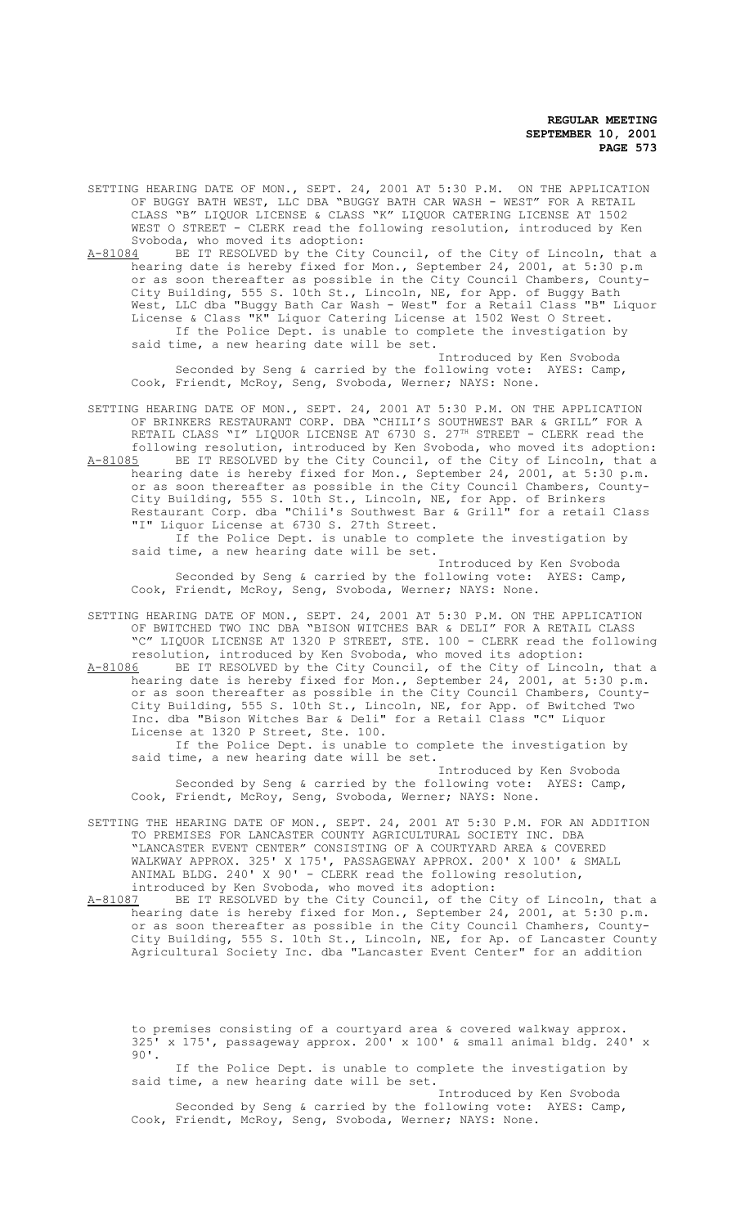SETTING HEARING DATE OF MON., SEPT. 24, 2001 AT 5:30 P.M. ON THE APPLICATION OF BUGGY BATH WEST, LLC DBA "BUGGY BATH CAR WASH - WEST" FOR A RETAIL CLASS "B" LIQUOR LICENSE & CLASS "K" LIQUOR CATERING LICENSE AT 1502 WEST O STREET - CLERK read the following resolution, introduced by Ken Svoboda, who moved its adoption:<br>A-81084 BE IT RESOLVED by the City

A-81084 BE IT RESOLVED by the City Council, of the City of Lincoln, that a hearing date is hereby fixed for Mon., September 24, 2001, at 5:30 p.m or as soon thereafter as possible in the City Council Chambers, County-City Building, 555 S. 10th St., Lincoln, NE, for App. of Buggy Bath West, LLC dba "Buggy Bath Car Wash - West" for a Retail Class "B" Liquor License & Class "K" Liquor Catering License at 1502 West O Street. If the Police Dept. is unable to complete the investigation by said time, a new hearing date will be set.

Introduced by Ken Svoboda Seconded by Seng & carried by the following vote: AYES: Camp, Cook, Friendt, McRoy, Seng, Svoboda, Werner; NAYS: None.

SETTING HEARING DATE OF MON., SEPT. 24, 2001 AT 5:30 P.M. ON THE APPLICATION OF BRINKERS RESTAURANT CORP. DBA "CHILI'S SOUTHWEST BAR & GRILL" FOR A RETAIL CLASS "I" LIQUOR LICENSE AT 6730 S. 27<sup>TH</sup> STREET - CLERK read the following resolution, introduced by Ken Svoboda, who moved its adoption:

A-81085 BE IT RESOLVED by the City Council, of the City of Lincoln, that a hearing date is hereby fixed for Mon., September 24, 2001, at 5:30 p.m. or as soon thereafter as possible in the City Council Chambers, County-City Building, 555 S. 10th St., Lincoln, NE, for App. of Brinkers Restaurant Corp. dba "Chili's Southwest Bar & Grill" for a retail Class "I" Liquor License at 6730 S. 27th Street. If the Police Dept. is unable to complete the investigation by

said time, a new hearing date will be set. Introduced by Ken Svoboda Seconded by Seng & carried by the following vote: AYES: Camp, Cook, Friendt, McRoy, Seng, Svoboda, Werner; NAYS: None.

SETTING HEARING DATE OF MON., SEPT. 24, 2001 AT 5:30 P.M. ON THE APPLICATION OF BWITCHED TWO INC DBA "BISON WITCHES BAR & DELI" FOR A RETAIL CLASS "C" LIQUOR LICENSE AT 1320 P STREET, STE. 100 - CLERK read the following resolution, introduced by Ken Svoboda, who moved its adoption:

A-81086 BE IT RESOLVED by the City Council, of the City of Lincoln, that a hearing date is hereby fixed for Mon., September 24, 2001, at 5:30 p.m. or as soon thereafter as possible in the City Council Chambers, County-City Building, 555 S. 10th St., Lincoln, NE, for App. of Bwitched Two Inc. dba "Bison Witches Bar & Deli" for a Retail Class "C" Liquor License at 1320 P Street, Ste. 100.

If the Police Dept. is unable to complete the investigation by said time, a new hearing date will be set.

Introduced by Ken Svoboda Seconded by Seng & carried by the following vote: AYES: Camp, Cook, Friendt, McRoy, Seng, Svoboda, Werner; NAYS: None.

SETTING THE HEARING DATE OF MON., SEPT. 24, 2001 AT 5:30 P.M. FOR AN ADDITION TO PREMISES FOR LANCASTER COUNTY AGRICULTURAL SOCIETY INC. DBA "LANCASTER EVENT CENTER" CONSISTING OF A COURTYARD AREA & COVERED WALKWAY APPROX. 325' X 175', PASSAGEWAY APPROX. 200' X 100' & SMALL ANIMAL BLDG. 240' X 90' - CLERK read the following resolution,

introduced by Ken Svoboda, who moved its adoption:<br>A-81087 BE IT RESOLVED by the City Council, of the C A-81087 BE IT RESOLVED by the City Council, of the City of Lincoln, that a hearing date is hereby fixed for Mon., September 24, 2001, at 5:30 p.m. or as soon thereafter as possible in the City Council Chamhers, County-City Building, 555 S. 10th St., Lincoln, NE, for Ap. of Lancaster County Agricultural Society Inc. dba "Lancaster Event Center" for an addition

to premises consisting of a courtyard area & covered walkway approx. 325' x 175', passageway approx. 200' x 100' & small animal bldg. 240' x 90'.

If the Police Dept. is unable to complete the investigation by said time, a new hearing date will be set.

Introduced by Ken Svoboda Seconded by Seng & carried by the following vote: AYES: Camp, Cook, Friendt, McRoy, Seng, Svoboda, Werner; NAYS: None.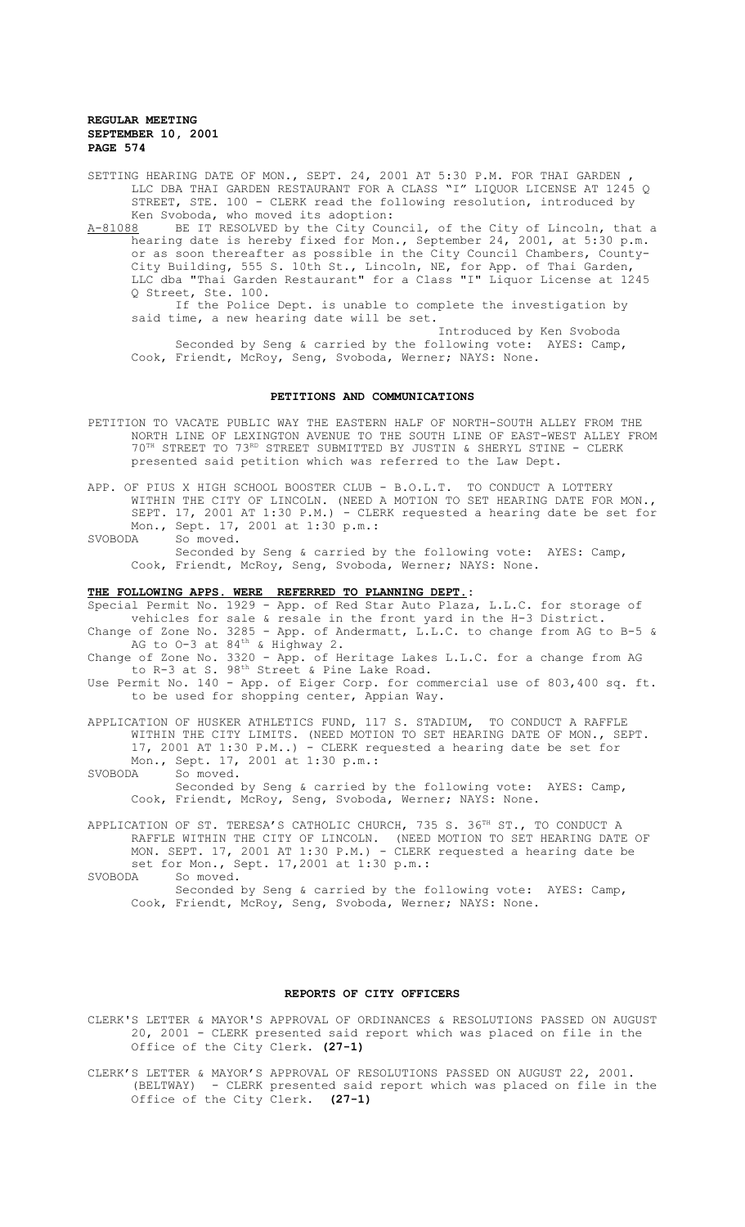SETTING HEARING DATE OF MON., SEPT. 24, 2001 AT 5:30 P.M. FOR THAI GARDEN , LLC DBA THAI GARDEN RESTAURANT FOR A CLASS "I" LIQUOR LICENSE AT 1245 Q STREET, STE. 100 - CLERK read the following resolution, introduced by Ken Svoboda, who moved its adoption:

A-81088 BE IT RESOLVED by the City Council, of the City of Lincoln, that a hearing date is hereby fixed for Mon., September 24, 2001, at 5:30 p.m. or as soon thereafter as possible in the City Council Chambers, County-City Building, 555 S. 10th St., Lincoln, NE, for App. of Thai Garden, LLC dba "Thai Garden Restaurant" for a Class "I" Liquor License at 1245 Q Street, Ste. 100.

If the Police Dept. is unable to complete the investigation by said time, a new hearing date will be set.

Introduced by Ken Svoboda Seconded by Seng & carried by the following vote: AYES: Camp, Cook, Friendt, McRoy, Seng, Svoboda, Werner; NAYS: None.

#### **PETITIONS AND COMMUNICATIONS**

- PETITION TO VACATE PUBLIC WAY THE EASTERN HALF OF NORTH-SOUTH ALLEY FROM THE NORTH LINE OF LEXINGTON AVENUE TO THE SOUTH LINE OF EAST-WEST ALLEY FROM 70TH STREET TO 73RD STREET SUBMITTED BY JUSTIN & SHERYL STINE - CLERK presented said petition which was referred to the Law Dept.
- APP. OF PIUS X HIGH SCHOOL BOOSTER CLUB B.O.L.T. TO CONDUCT A LOTTERY WITHIN THE CITY OF LINCOLN. (NEED A MOTION TO SET HEARING DATE FOR MON., SEPT. 17, 2001 AT 1:30 P.M.) - CLERK requested a hearing date be set for Mon., Sept. 17, 2001 at 1:30 p.m.:<br>SVOBODA So moved.
- So moved. Seconded by Seng & carried by the following vote: AYES: Camp, Cook, Friendt, McRoy, Seng, Svoboda, Werner; NAYS: None.

### **THE FOLLOWING APPS. WERE REFERRED TO PLANNING DEPT.:**

Special Permit No. 1929 - App. of Red Star Auto Plaza, L.L.C. for storage of vehicles for sale & resale in the front yard in the H-3 District. Change of Zone No. 3285 - App. of Andermatt, L.L.C. to change from AG to B-5 & AG to 0-3 at 84<sup>th</sup> & Highway 2.

Change of Zone No. 3320 - App. of Heritage Lakes L.L.C. for a change from AG to R-3 at S. 98<sup>th</sup> Street & Pine Lake Road.

Use Permit No. 140 - App. of Eiger Corp. for commercial use of 803,400 sq. ft. to be used for shopping center, Appian Way.

APPLICATION OF HUSKER ATHLETICS FUND, 117 S. STADIUM, TO CONDUCT A RAFFLE WITHIN THE CITY LIMITS. (NEED MOTION TO SET HEARING DATE OF MON., SEPT. 17, 2001 AT 1:30 P.M..) - CLERK requested a hearing date be set for Mon., Sept. 17, 2001 at 1:30 p.m.:<br>SVOBODA So moved.

So moved. Seconded by Seng & carried by the following vote: AYES: Camp, Cook, Friendt, McRoy, Seng, Svoboda, Werner; NAYS: None.

APPLICATION OF ST. TERESA'S CATHOLIC CHURCH, 735 S. 36<sup>TH</sup> ST., TO CONDUCT A RAFFLE WITHIN THE CITY OF LINCOLN. (NEED MOTION TO SET HEARING DATE OF MON. SEPT. 17, 2001 AT 1:30 P.M.) - CLERK requested a hearing date be set for Mon., Sept.  $17,2001$  at  $1:30$  p.m.:<br>SVOBODA So moved.

#### **REPORTS OF CITY OFFICERS**

CLERK'S LETTER & MAYOR'S APPROVAL OF ORDINANCES & RESOLUTIONS PASSED ON AUGUST 20, 2001 - CLERK presented said report which was placed on file in the Office of the City Clerk. **(27-1)**

CLERK'S LETTER & MAYOR'S APPROVAL OF RESOLUTIONS PASSED ON AUGUST 22, 2001. (BELTWAY) - CLERK presented said report which was placed on file in the Office of the City Clerk. **(27-1)**

So moved. Seconded by Seng & carried by the following vote: AYES: Camp, Cook, Friendt, McRoy, Seng, Svoboda, Werner; NAYS: None.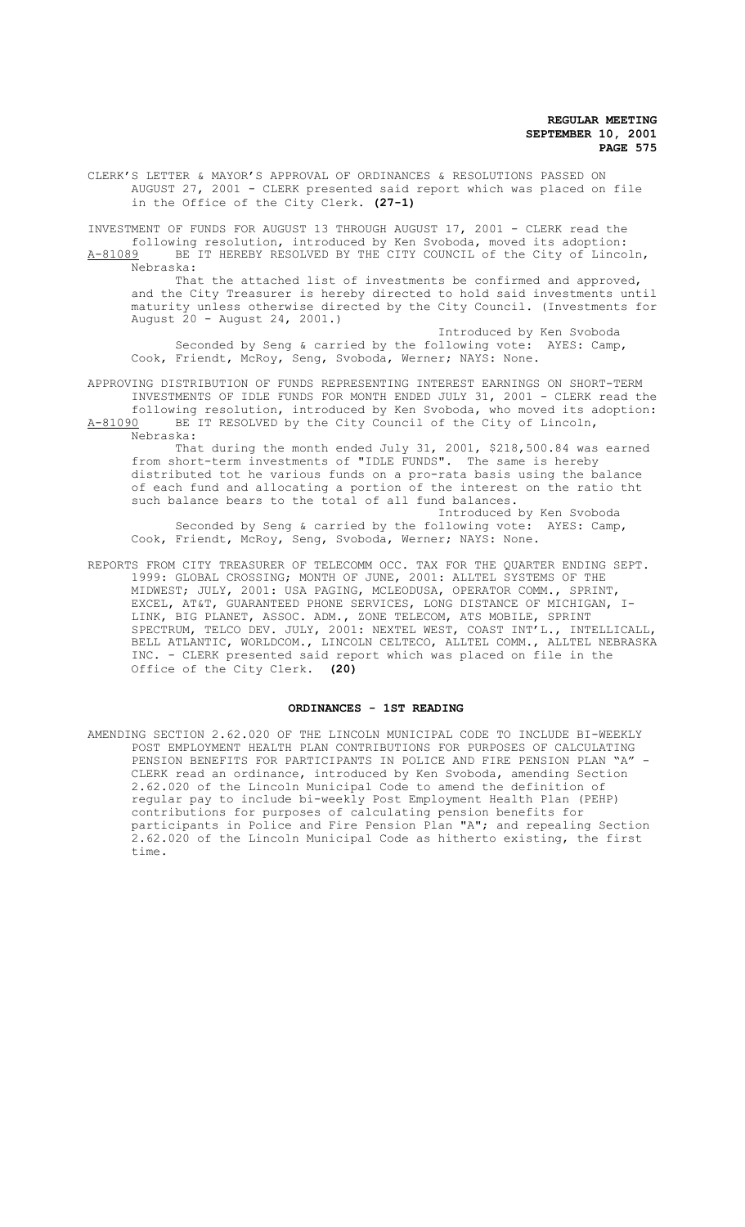CLERK'S LETTER & MAYOR'S APPROVAL OF ORDINANCES & RESOLUTIONS PASSED ON AUGUST 27, 2001 - CLERK presented said report which was placed on file in the Office of the City Clerk. **(27-1)**

INVESTMENT OF FUNDS FOR AUGUST 13 THROUGH AUGUST 17, 2001 - CLERK read the following resolution, introduced by Ken Svoboda, moved its adoption: A-81089 BE IT HEREBY RESOLVED BY THE CITY COUNCIL of the City of Lincoln, Nebraska:

That the attached list of investments be confirmed and approved, and the City Treasurer is hereby directed to hold said investments until maturity unless otherwise directed by the City Council. (Investments for August 20 - August 24, 2001.)

Introduced by Ken Svoboda Seconded by Seng & carried by the following vote: AYES: Camp, Cook, Friendt, McRoy, Seng, Svoboda, Werner; NAYS: None.

APPROVING DISTRIBUTION OF FUNDS REPRESENTING INTEREST EARNINGS ON SHORT-TERM INVESTMENTS OF IDLE FUNDS FOR MONTH ENDED JULY 31, 2001 - CLERK read the following resolution, introduced by Ken Svoboda, who moved its adoption: A-81090 BE IT RESOLVED by the City Council of the City of Lincoln, Nebraska:

That during the month ended July 31, 2001, \$218,500.84 was earned from short-term investments of "IDLE FUNDS". The same is hereby distributed tot he various funds on a pro-rata basis using the balance of each fund and allocating a portion of the interest on the ratio tht such balance bears to the total of all fund balances.

Introduced by Ken Svoboda Seconded by Seng & carried by the following vote: AYES: Camp, Cook, Friendt, McRoy, Seng, Svoboda, Werner; NAYS: None.

REPORTS FROM CITY TREASURER OF TELECOMM OCC. TAX FOR THE QUARTER ENDING SEPT. 1999: GLOBAL CROSSING; MONTH OF JUNE, 2001: ALLTEL SYSTEMS OF THE MIDWEST; JULY, 2001: USA PAGING, MCLEODUSA, OPERATOR COMM., SPRINT, EXCEL, AT&T, GUARANTEED PHONE SERVICES, LONG DISTANCE OF MICHIGAN, I-LINK, BIG PLANET, ASSOC. ADM., ZONE TELECOM, ATS MOBILE, SPRINT SPECTRUM, TELCO DEV. JULY, 2001: NEXTEL WEST, COAST INT'L., INTELLICALL, BELL ATLANTIC, WORLDCOM., LINCOLN CELTECO, ALLTEL COMM., ALLTEL NEBRASKA INC. - CLERK presented said report which was placed on file in the Office of the City Clerk. **(20)**

### **ORDINANCES - 1ST READING**

AMENDING SECTION 2.62.020 OF THE LINCOLN MUNICIPAL CODE TO INCLUDE BI-WEEKLY POST EMPLOYMENT HEALTH PLAN CONTRIBUTIONS FOR PURPOSES OF CALCULATING PENSION BENEFITS FOR PARTICIPANTS IN POLICE AND FIRE PENSION PLAN "A" CLERK read an ordinance, introduced by Ken Svoboda, amending Section 2.62.020 of the Lincoln Municipal Code to amend the definition of regular pay to include bi-weekly Post Employment Health Plan (PEHP) contributions for purposes of calculating pension benefits for participants in Police and Fire Pension Plan "A"; and repealing Section 2.62.020 of the Lincoln Municipal Code as hitherto existing, the first time.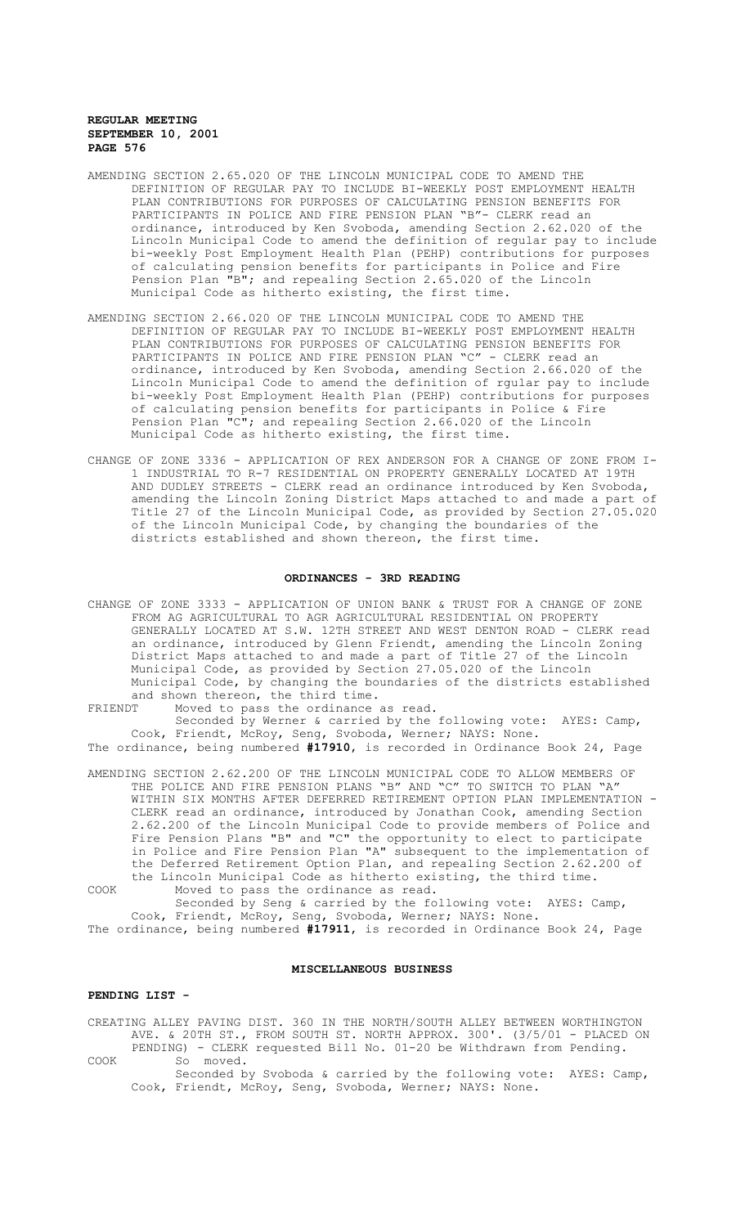- AMENDING SECTION 2.65.020 OF THE LINCOLN MUNICIPAL CODE TO AMEND THE DEFINITION OF REGULAR PAY TO INCLUDE BI-WEEKLY POST EMPLOYMENT HEALTH PLAN CONTRIBUTIONS FOR PURPOSES OF CALCULATING PENSION BENEFITS FOR PARTICIPANTS IN POLICE AND FIRE PENSION PLAN "B"- CLERK read an ordinance, introduced by Ken Svoboda, amending Section 2.62.020 of the Lincoln Municipal Code to amend the definition of regular pay to include bi-weekly Post Employment Health Plan (PEHP) contributions for purposes of calculating pension benefits for participants in Police and Fire Pension Plan "B"; and repealing Section 2.65.020 of the Lincoln Municipal Code as hitherto existing, the first time.
- AMENDING SECTION 2.66.020 OF THE LINCOLN MUNICIPAL CODE TO AMEND THE DEFINITION OF REGULAR PAY TO INCLUDE BI-WEEKLY POST EMPLOYMENT HEALTH PLAN CONTRIBUTIONS FOR PURPOSES OF CALCULATING PENSION BENEFITS FOR PARTICIPANTS IN POLICE AND FIRE PENSION PLAN "C" - CLERK read an ordinance, introduced by Ken Svoboda, amending Section 2.66.020 of the Lincoln Municipal Code to amend the definition of rgular pay to include bi-weekly Post Employment Health Plan (PEHP) contributions for purposes of calculating pension benefits for participants in Police & Fire Pension Plan "C"; and repealing Section 2.66.020 of the Lincoln Municipal Code as hitherto existing, the first time.
- CHANGE OF ZONE 3336 APPLICATION OF REX ANDERSON FOR A CHANGE OF ZONE FROM I-1 INDUSTRIAL TO R-7 RESIDENTIAL ON PROPERTY GENERALLY LOCATED AT 19TH AND DUDLEY STREETS - CLERK read an ordinance introduced by Ken Svoboda, amending the Lincoln Zoning District Maps attached to and made a part of Title 27 of the Lincoln Municipal Code, as provided by Section 27.05.020 of the Lincoln Municipal Code, by changing the boundaries of the districts established and shown thereon, the first time.

# **ORDINANCES - 3RD READING**

CHANGE OF ZONE 3333 - APPLICATION OF UNION BANK & TRUST FOR A CHANGE OF ZONE FROM AG AGRICULTURAL TO AGR AGRICULTURAL RESIDENTIAL ON PROPERTY GENERALLY LOCATED AT S.W. 12TH STREET AND WEST DENTON ROAD - CLERK read an ordinance, introduced by Glenn Friendt, amending the Lincoln Zoning District Maps attached to and made a part of Title 27 of the Lincoln Municipal Code, as provided by Section 27.05.020 of the Lincoln Municipal Code, by changing the boundaries of the districts established and shown thereon, the third time.<br>FRIENDT Moved to pass the ordinance

Moved to pass the ordinance as read. Seconded by Werner & carried by the following vote: AYES: Camp, Cook, Friendt, McRoy, Seng, Svoboda, Werner; NAYS: None. The ordinance, being numbered **#17910**, is recorded in Ordinance Book 24, Page

AMENDING SECTION 2.62.200 OF THE LINCOLN MUNICIPAL CODE TO ALLOW MEMBERS OF THE POLICE AND FIRE PENSION PLANS "B" AND "C" TO SWITCH TO PLAN "A" WITHIN SIX MONTHS AFTER DEFERRED RETIREMENT OPTION PLAN IMPLEMENTATION - CLERK read an ordinance, introduced by Jonathan Cook, amending Section 2.62.200 of the Lincoln Municipal Code to provide members of Police and Fire Pension Plans "B" and "C" the opportunity to elect to participate in Police and Fire Pension Plan "A" subsequent to the implementation of the Deferred Retirement Option Plan, and repealing Section 2.62.200 of the Lincoln Municipal Code as hitherto existing, the third time.

COOK Moved to pass the ordinance as read. Seconded by Seng & carried by the following vote: AYES: Camp, Cook, Friendt, McRoy, Seng, Svoboda, Werner; NAYS: None.

The ordinance, being numbered **#17911**, is recorded in Ordinance Book 24, Page

### **MISCELLANEOUS BUSINESS**

### **PENDING LIST -**

CREATING ALLEY PAVING DIST. 360 IN THE NORTH/SOUTH ALLEY BETWEEN WORTHINGTON AVE. & 20TH ST., FROM SOUTH ST. NORTH APPROX. 300'. (3/5/01 - PLACED ON PENDING) - CLERK requested Bill No. 01-20 be Withdrawn from Pending.

COOK So moved. Seconded by Svoboda & carried by the following vote: AYES: Camp, Cook, Friendt, McRoy, Seng, Svoboda, Werner; NAYS: None.